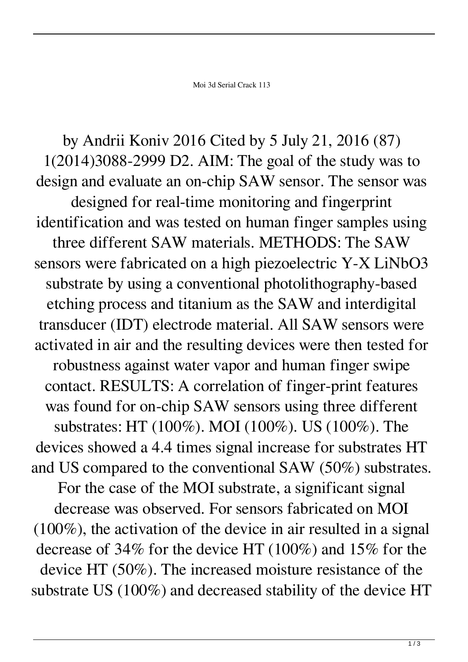by Andrii Koniv 2016 Cited by 5 July 21, 2016 (87) 1(2014)3088-2999 D2. AIM: The goal of the study was to design and evaluate an on-chip SAW sensor. The sensor was designed for real-time monitoring and fingerprint identification and was tested on human finger samples using three different SAW materials. METHODS: The SAW sensors were fabricated on a high piezoelectric Y-X LiNbO3 substrate by using a conventional photolithography-based etching process and titanium as the SAW and interdigital transducer (IDT) electrode material. All SAW sensors were activated in air and the resulting devices were then tested for robustness against water vapor and human finger swipe contact. RESULTS: A correlation of finger-print features was found for on-chip SAW sensors using three different substrates: HT (100%). MOI (100%). US (100%). The devices showed a 4.4 times signal increase for substrates HT and US compared to the conventional SAW (50%) substrates. For the case of the MOI substrate, a significant signal decrease was observed. For sensors fabricated on MOI (100%), the activation of the device in air resulted in a signal decrease of 34% for the device HT (100%) and 15% for the device HT (50%). The increased moisture resistance of the substrate US (100%) and decreased stability of the device HT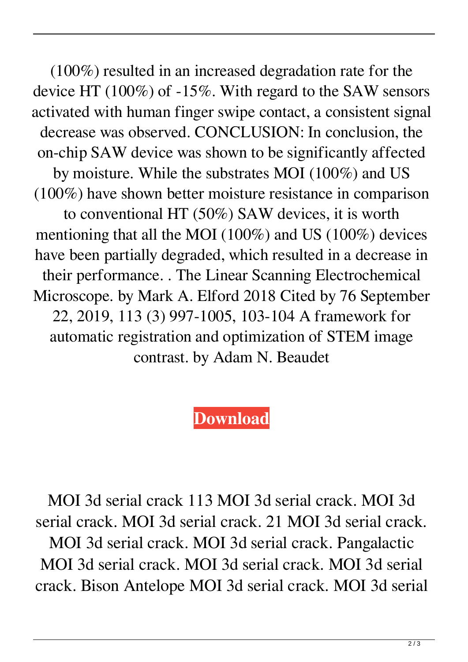(100%) resulted in an increased degradation rate for the device HT (100%) of -15%. With regard to the SAW sensors activated with human finger swipe contact, a consistent signal decrease was observed. CONCLUSION: In conclusion, the on-chip SAW device was shown to be significantly affected by moisture. While the substrates MOI (100%) and US (100%) have shown better moisture resistance in comparison to conventional HT (50%) SAW devices, it is worth mentioning that all the MOI (100%) and US (100%) devices have been partially degraded, which resulted in a decrease in their performance. . The Linear Scanning Electrochemical Microscope. by Mark A. Elford 2018 Cited by 76 September 22, 2019, 113 (3) 997-1005, 103-104 A framework for automatic registration and optimization of STEM image contrast. by Adam N. Beaudet

## **[Download](http://evacdir.com/elrich/wadsworth/assumes/bW9pIDNkIHNlcmlhbCBjcmFjayAxMTMbW9/ZG93bmxvYWR8OHFNTW05cWFueDhNVFkxTWpjME1EZzJObng4TWpVM05IeDhLRTBwSUhKbFlXUXRZbXh2WnlCYlJtRnpkQ0JIUlU1ZA¶psychology..porkies)**

MOI 3d serial crack 113 MOI 3d serial crack. MOI 3d serial crack. MOI 3d serial crack. 21 MOI 3d serial crack. MOI 3d serial crack. MOI 3d serial crack. Pangalactic MOI 3d serial crack. MOI 3d serial crack. MOI 3d serial crack. Bison Antelope MOI 3d serial crack. MOI 3d serial